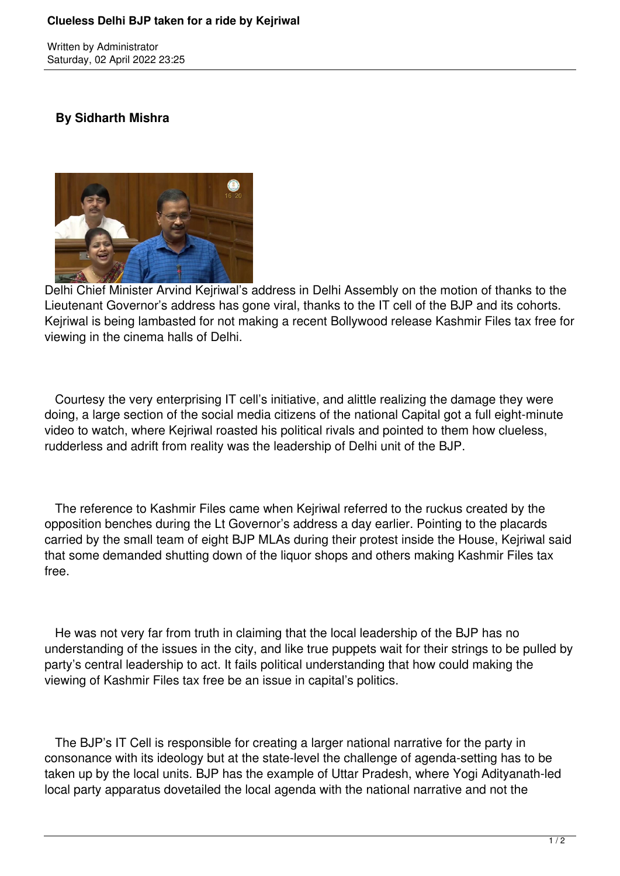## **Clueless Delhi BJP taken for a ride by Kejriwal**

Written by Administrator Saturday, 02 April 2022 23:25

## **By Sidharth Mishra**



Delhi Chief Minister Arvind Kejriwal's address in Delhi Assembly on the motion of thanks to the Lieutenant Governor's address has gone viral, thanks to the IT cell of the BJP and its cohorts. Kejriwal is being lambasted for not making a recent Bollywood release Kashmir Files tax free for viewing in the cinema halls of Delhi.

 Courtesy the very enterprising IT cell's initiative, and alittle realizing the damage they were doing, a large section of the social media citizens of the national Capital got a full eight-minute video to watch, where Kejriwal roasted his political rivals and pointed to them how clueless, rudderless and adrift from reality was the leadership of Delhi unit of the BJP.

 The reference to Kashmir Files came when Kejriwal referred to the ruckus created by the opposition benches during the Lt Governor's address a day earlier. Pointing to the placards carried by the small team of eight BJP MLAs during their protest inside the House, Kejriwal said that some demanded shutting down of the liquor shops and others making Kashmir Files tax free.

 He was not very far from truth in claiming that the local leadership of the BJP has no understanding of the issues in the city, and like true puppets wait for their strings to be pulled by party's central leadership to act. It fails political understanding that how could making the viewing of Kashmir Files tax free be an issue in capital's politics.

 The BJP's IT Cell is responsible for creating a larger national narrative for the party in consonance with its ideology but at the state-level the challenge of agenda-setting has to be taken up by the local units. BJP has the example of Uttar Pradesh, where Yogi Adityanath-led local party apparatus dovetailed the local agenda with the national narrative and not the